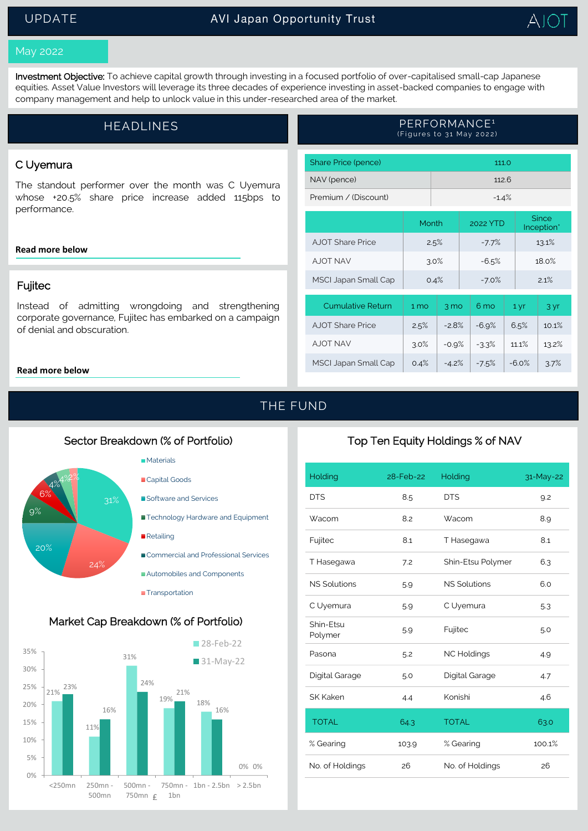## UPDATE



#### May 2022

Investment Objective: To achieve capital growth through investing in a focused portfolio of over-capitalised small-cap Japanese equities. Asset Value Investors will leverage its three decades of experience investing in asset-backed companies to engage with company management and help to unlock value in this under-researched area of the market.

# HEADLINES **External CONTROLLING** PERFORMANCE<sup>1</sup> (Figures to 31 May 2022)

### C Uyemura

The standout performer over the month was C Uyemura whose +20.5% share price increase added 115bps to performance.

#### **[Read more below](#page-1-0)**

### Fujitec

Instead of admitting wrongdoing and strengthening corporate governance, Fujitec has embarked on a campaign of denial and obscuration.

#### **[Read more below](#page-2-0)**

| Share Price (pence)      | 111.0           |                |  |          |  |                            |       |
|--------------------------|-----------------|----------------|--|----------|--|----------------------------|-------|
| NAV (pence)              | 112.6           |                |  |          |  |                            |       |
| Premium / (Discount)     | $-1.4%$         |                |  |          |  |                            |       |
|                          | Month           |                |  | 2022 YTD |  | <b>Since</b><br>Inception* |       |
| A IOT Share Price        | 2.5%            |                |  | $-7.7%$  |  |                            | 13.1% |
| <b>AJOT NAV</b>          | 3.0%            |                |  | $-6.5%$  |  |                            | 18.0% |
| MSCI Japan Small Cap     | 0.4%            |                |  | $-7.0%$  |  | 2.1%                       |       |
| <b>Cumulative Return</b> | 1 <sub>mo</sub> | $3 \text{ mo}$ |  | 6 mo     |  | 1 yr                       | 3 yr  |

AJOT Share Price  $\vert$  2.5% -2.8% -6.9% 6.5% 10.1% AJOT NAV 3.0% -0.9% -3.3% 11.1% 13.2% MSCI Japan Small Cap | 0.4% | -4.2% | -7.5% | -6.0% | 3.7%

# THE FUND

### Sector Breakdown (% of Portfolio)



**Transportation** 

### Market Cap Breakdown (% of Portfolio)



## Top Ten Equity Holdings % of NAV

| Holding              | 28-Feb-22 | Holding             | 31-May-22 |
|----------------------|-----------|---------------------|-----------|
| <b>DTS</b>           | 8.5       | <b>DTS</b>          | 9.2       |
| Wacom                | 8.2       | Wacom               | 8.9       |
| Fujitec              | 8.1       | T Hasegawa          | 8.1       |
| T Hasegawa           | 7.2       | Shin-Etsu Polymer   | 6.3       |
| <b>NS Solutions</b>  | 5.9       | <b>NS Solutions</b> | 6.0       |
| C Uyemura            | 5.9       | C Uyemura           | 5.3       |
| Shin-Etsu<br>Polymer | 5.9       | Fujitec             | 5.0       |
| Pasona               | 5.2       | <b>NC Holdings</b>  | 4.9       |
| Digital Garage       | 5.0       | Digital Garage      | 4.7       |
| SK Kaken             | 4.4       | Konishi             | 4.6       |
| <b>TOTAL</b>         | 64.3      | <b>TOTAL</b>        | 63.0      |
| % Gearing            | 103.9     | % Gearing           | 100.1%    |
| No. of Holdings      | 26        | No. of Holdings     | 26        |
|                      |           |                     |           |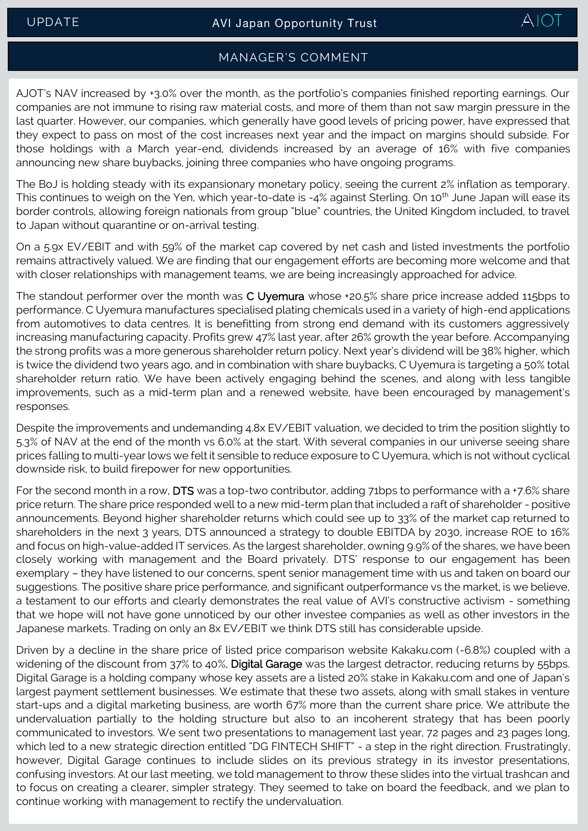

## MANAGER'S COMMENT

AJOT's NAV increased by +3.0% over the month, as the portfolio's companies finished reporting earnings. Our companies are not immune to rising raw material costs, and more of them than not saw margin pressure in the last quarter. However, our companies, which generally have good levels of pricing power, have expressed that they expect to pass on most of the cost increases next year and the impact on margins should subside. For those holdings with a March year-end, dividends increased by an average of 16% with five companies announcing new share buybacks, joining three companies who have ongoing programs.

The BoJ is holding steady with its expansionary monetary policy, seeing the current 2% inflation as temporary. This continues to weigh on the Yen, which year-to-date is -4% against Sterling. On 10<sup>th</sup> June Japan will ease its border controls, allowing foreign nationals from group "blue" countries, the United Kingdom included, to travel to Japan without quarantine or on-arrival testing.

On a 5.9x EV/EBIT and with 59% of the market cap covered by net cash and listed investments the portfolio remains attractively valued. We are finding that our engagement efforts are becoming more welcome and that with closer relationships with management teams, we are being increasingly approached for advice.

<span id="page-1-0"></span>The standout performer over the month was C Uyemura whose +20.5% share price increase added 115bps to performance. C Uyemura manufactures specialised plating chemicals used in a variety of high-end applications from automotives to data centres. It is benefitting from strong end demand with its customers aggressively increasing manufacturing capacity. Profits grew 47% last year, after 26% growth the year before. Accompanying the strong profits was a more generous shareholder return policy. Next year's dividend will be 38% higher, which is twice the dividend two years ago, and in combination with share buybacks, C Uyemura is targeting a 50% total shareholder return ratio. We have been actively engaging behind the scenes, and along with less tangible improvements, such as a mid-term plan and a renewed website, have been encouraged by management's responses.

Despite the improvements and undemanding 4.8x EV/EBIT valuation, we decided to trim the position slightly to 5.3% of NAV at the end of the month vs 6.0% at the start. With several companies in our universe seeing share prices falling to multi-year lows we felt it sensible to reduce exposure to C Uyemura, which is not without cyclical downside risk, to build firepower for new opportunities.

For the second month in a row, DTS was a top-two contributor, adding 71bps to performance with a +7.6% share price return. The share price responded well to a new mid-term plan that included a raft of shareholder - positive announcements. Beyond higher shareholder returns which could see up to 33% of the market cap returned to shareholders in the next 3 years, DTS announced a strategy to double EBITDA by 2030, increase ROE to 16% and focus on high-value-added IT services. As the largest shareholder, owning 9.9% of the shares, we have been closely working with management and the Board privately. DTS' response to our engagement has been exemplary – they have listened to our concerns, spent senior management time with us and taken on board our suggestions. The positive share price performance, and significant outperformance vs the market, is we believe, a testament to our efforts and clearly demonstrates the real value of AVI's constructive activism - something that we hope will not have gone unnoticed by our other investee companies as well as other investors in the Japanese markets. Trading on only an 8x EV/EBIT we think DTS still has considerable upside.

Driven by a decline in the share price of listed price comparison website Kakaku.com (-6.8%) coupled with a widening of the discount from 37% to 40%, Digital Garage was the largest detractor, reducing returns by 55bps. Digital Garage is a holding company whose key assets are a listed 20% stake in Kakaku.com and one of Japan's largest payment settlement businesses. We estimate that these two assets, along with small stakes in venture start-ups and a digital marketing business, are worth 67% more than the current share price. We attribute the undervaluation partially to the holding structure but also to an incoherent strategy that has been poorly communicated to investors. We sent two presentations to management last year, 72 pages and 23 pages long, which led to a new strategic direction entitled "DG FINTECH SHIFT" - a step in the right direction. Frustratingly, however, Digital Garage continues to include slides on its previous strategy in its investor presentations, confusing investors. At our last meeting, we told management to throw these slides into the virtual trashcan and to focus on creating a clearer, simpler strategy. They seemed to take on board the feedback, and we plan to continue working with management to rectify the undervaluation.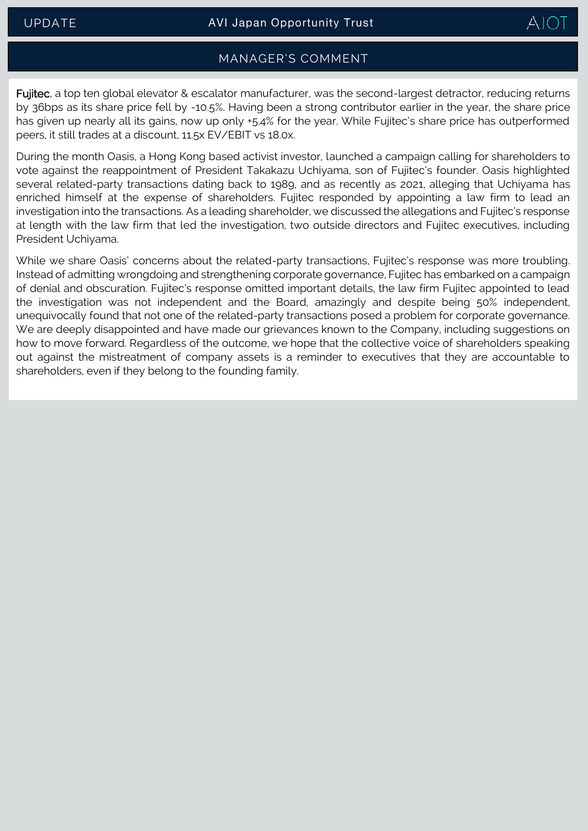

### MANAGER'S COMMENT

<span id="page-2-0"></span>Fujitec, a top ten global elevator & escalator manufacturer, was the second-largest detractor, reducing returns by 36bps as its share price fell by -10.5%. Having been a strong contributor earlier in the year, the share price has given up nearly all its gains, now up only +5.4% for the year. While Fujitec's share price has outperformed peers, it still trades at a discount, 11.5x EV/EBIT vs 18.0x.

During the month Oasis, a Hong Kong based activist investor, launched a campaign calling for shareholders to vote against the reappointment of President Takakazu Uchiyama, son of Fujitec's founder. Oasis highlighted several related-party transactions dating back to 1989, and as recently as 2021, alleging that Uchiyama has enriched himself at the expense of shareholders. Fujitec responded by appointing a law firm to lead an investigation into the transactions. As a leading shareholder, we discussed the allegations and Fujitec's response at length with the law firm that led the investigation, two outside directors and Fujitec executives, including President Uchiyama.

While we share Oasis' concerns about the related-party transactions, Fujitec's response was more troubling. Instead of admitting wrongdoing and strengthening corporate governance, Fujitec has embarked on a campaign of denial and obscuration. Fujitec's response omitted important details, the law firm Fujitec appointed to lead the investigation was not independent and the Board, amazingly and despite being 50% independent, unequivocally found that not one of the related-party transactions posed a problem for corporate governance. We are deeply disappointed and have made our grievances known to the Company, including suggestions on how to move forward. Regardless of the outcome, we hope that the collective voice of shareholders speaking out against the mistreatment of company assets is a reminder to executives that they are accountable to shareholders, even if they belong to the founding family.